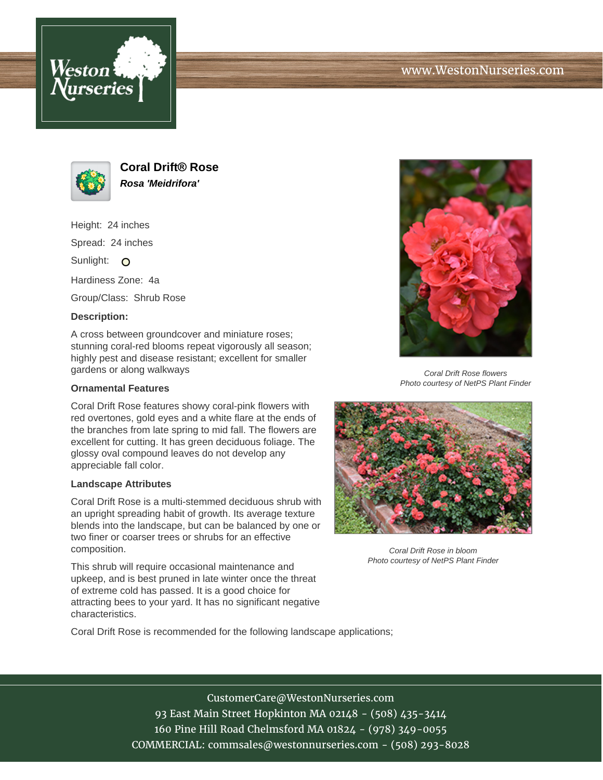



**Coral Drift® Rose Rosa 'Meidrifora'**

Height: 24 inches Spread: 24 inches Sunlight: O Hardiness Zone: 4a

Group/Class: Shrub Rose

## **Description:**

A cross between groundcover and miniature roses; stunning coral-red blooms repeat vigorously all season; highly pest and disease resistant; excellent for smaller gardens or along walkways

## **Ornamental Features**

Coral Drift Rose features showy coral-pink flowers with red overtones, gold eyes and a white flare at the ends of the branches from late spring to mid fall. The flowers are excellent for cutting. It has green deciduous foliage. The glossy oval compound leaves do not develop any appreciable fall color.

## **Landscape Attributes**

Coral Drift Rose is a multi-stemmed deciduous shrub with an upright spreading habit of growth. Its average texture blends into the landscape, but can be balanced by one or two finer or coarser trees or shrubs for an effective composition.

This shrub will require occasional maintenance and upkeep, and is best pruned in late winter once the threat of extreme cold has passed. It is a good choice for attracting bees to your yard. It has no significant negative characteristics.



Coral Drift Rose flowers Photo courtesy of NetPS Plant Finder



Coral Drift Rose in bloom Photo courtesy of NetPS Plant Finder

Coral Drift Rose is recommended for the following landscape applications;

CustomerCare@WestonNurseries.com 93 East Main Street Hopkinton MA 02148 - (508) 435-3414 160 Pine Hill Road Chelmsford MA 01824 - (978) 349-0055 COMMERCIAL: commsales@westonnurseries.com - (508) 293-8028